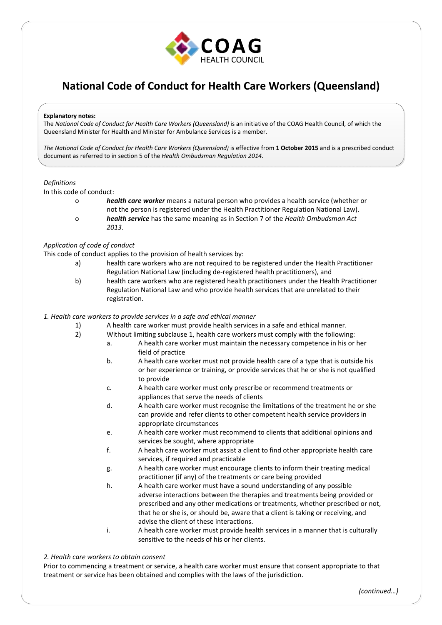

# **National Code of Conduct for Health Care Workers (Queensland)**

#### **Explanatory notes:**

The *National Code of Conduct for Health Care Workers (Queensland)* is an initiative of the COAG Health Council, of which the Queensland Minister for Health and Minister for Ambulance Services is a member.

*The National Code of Conduct for Health Care Workers (Queensland)* is effective from **1 October 2015** and is a prescribed conduct document as referred to in section 5 of the *Health Ombudsman Regulation 2014*.

#### *Definitions*

In this code of conduct:

- o *health care worker* means a natural person who provides a health service (whether or not the person is registered under the Health Practitioner Regulation National Law). o *health service* has the same meaning as in Section 7 of the *Health Ombudsman Act* 
	- *2013*.

#### *Application of code of conduct*

This code of conduct applies to the provision of health services by:

- a) health care workers who are not required to be registered under the Health Practitioner Regulation National Law (including de-registered health practitioners), and
- b) health care workers who are registered health practitioners under the Health Practitioner Regulation National Law and who provide health services that are unrelated to their registration.

#### *1. Health care workers to provide services in a safe and ethical manner*

- 1) A health care worker must provide health services in a safe and ethical manner.
- 2) Without limiting subclause 1, health care workers must comply with the following:
	- a. A health care worker must maintain the necessary competence in his or her field of practice
	- b. A health care worker must not provide health care of a type that is outside his or her experience or training, or provide services that he or she is not qualified to provide
	- c. A health care worker must only prescribe or recommend treatments or appliances that serve the needs of clients
	- d. A health care worker must recognise the limitations of the treatment he or she can provide and refer clients to other competent health service providers in appropriate circumstances
	- e. A health care worker must recommend to clients that additional opinions and services be sought, where appropriate
	- f. A health care worker must assist a client to find other appropriate health care services, if required and practicable
	- g. A health care worker must encourage clients to inform their treating medical practitioner (if any) of the treatments or care being provided
	- h. A health care worker must have a sound understanding of any possible adverse interactions between the therapies and treatments being provided or prescribed and any other medications or treatments, whether prescribed or not, that he or she is, or should be, aware that a client is taking or receiving, and advise the client of these interactions.
	- i. A health care worker must provide health services in a manner that is culturally sensitive to the needs of his or her clients.

#### *2. Health care workers to obtain consent*

Prior to commencing a treatment or service, a health care worker must ensure that consent appropriate to that treatment or service has been obtained and complies with the laws of the jurisdiction.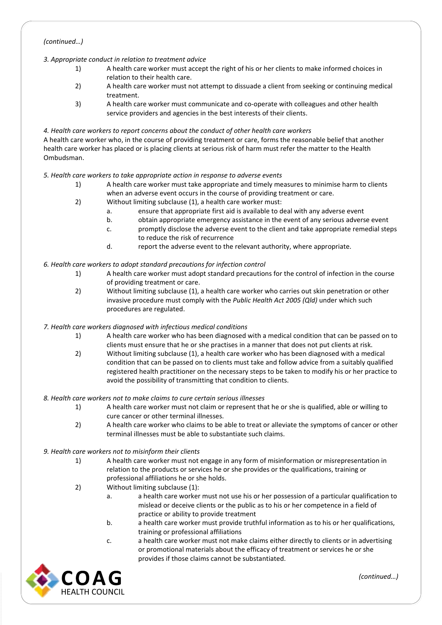## *(continued…)*

*3. Appropriate conduct in relation to treatment advice* 

- 1) A health care worker must accept the right of his or her clients to make informed choices in relation to their health care.
- 2) A health care worker must not attempt to dissuade a client from seeking or continuing medical treatment.
- 3) A health care worker must communicate and co-operate with colleagues and other health service providers and agencies in the best interests of their clients.

### *4. Health care workers to report concerns about the conduct of other health care workers*

A health care worker who, in the course of providing treatment or care, forms the reasonable belief that another health care worker has placed or is placing clients at serious risk of harm must refer the matter to the Health Ombudsman.

*5. Health care workers to take appropriate action in response to adverse events* 

- 1) A health care worker must take appropriate and timely measures to minimise harm to clients when an adverse event occurs in the course of providing treatment or care.
- 2) Without limiting subclause (1), a health care worker must:
	- a. ensure that appropriate first aid is available to deal with any adverse event
	- b. obtain appropriate emergency assistance in the event of any serious adverse event
	- c. promptly disclose the adverse event to the client and take appropriate remedial steps to reduce the risk of recurrence
	- d. report the adverse event to the relevant authority, where appropriate.

## *6. Health care workers to adopt standard precautions for infection control*

- 1) A health care worker must adopt standard precautions for the control of infection in the course of providing treatment or care.
- 2) Without limiting subclause (1), a health care worker who carries out skin penetration or other invasive procedure must comply with the *Public Health Act 2005 (Qld)* under which such procedures are regulated.
- *7. Health care workers diagnosed with infectious medical conditions* 
	- 1) A health care worker who has been diagnosed with a medical condition that can be passed on to clients must ensure that he or she practises in a manner that does not put clients at risk.
	- 2) Without limiting subclause (1), a health care worker who has been diagnosed with a medical condition that can be passed on to clients must take and follow advice from a suitably qualified registered health practitioner on the necessary steps to be taken to modify his or her practice to avoid the possibility of transmitting that condition to clients.
- *8. Health care workers not to make claims to cure certain serious illnesses* 
	- 1) A health care worker must not claim or represent that he or she is qualified, able or willing to cure cancer or other terminal illnesses.
	- 2) A health care worker who claims to be able to treat or alleviate the symptoms of cancer or other terminal illnesses must be able to substantiate such claims.
- *9. Health care workers not to misinform their clients* 
	- 1) A health care worker must not engage in any form of misinformation or misrepresentation in relation to the products or services he or she provides or the qualifications, training or professional affiliations he or she holds.
	- 2) Without limiting subclause (1):
		- a. a health care worker must not use his or her possession of a particular qualification to mislead or deceive clients or the public as to his or her competence in a field of practice or ability to provide treatment
		- b. a health care worker must provide truthful information as to his or her qualifications, training or professional affiliations
		- c. a health care worker must not make claims either directly to clients or in advertising or promotional materials about the efficacy of treatment or services he or she provides if those claims cannot be substantiated.



*(continued…)*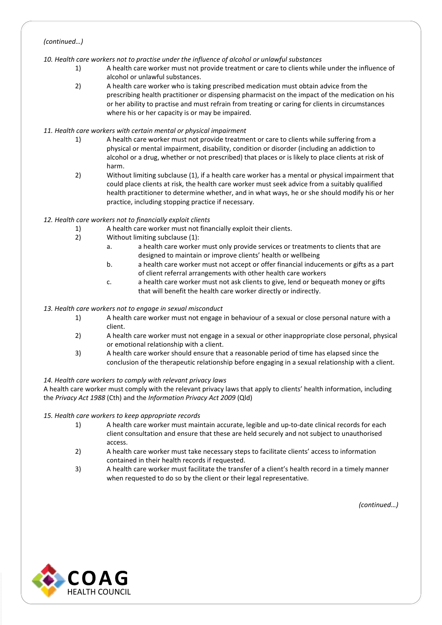### *(continued…)*

*10. Health care workers not to practise under the influence of alcohol or unlawful substances* 

- 1) A health care worker must not provide treatment or care to clients while under the influence of alcohol or unlawful substances.
- 2) A health care worker who is taking prescribed medication must obtain advice from the prescribing health practitioner or dispensing pharmacist on the impact of the medication on his or her ability to practise and must refrain from treating or caring for clients in circumstances where his or her capacity is or may be impaired.
- *11. Health care workers with certain mental or physical impairment* 
	- 1) A health care worker must not provide treatment or care to clients while suffering from a physical or mental impairment, disability, condition or disorder (including an addiction to alcohol or a drug, whether or not prescribed) that places or is likely to place clients at risk of harm.
	- 2) Without limiting subclause (1), if a health care worker has a mental or physical impairment that could place clients at risk, the health care worker must seek advice from a suitably qualified health practitioner to determine whether, and in what ways, he or she should modify his or her practice, including stopping practice if necessary.
- *12. Health care workers not to financially exploit clients* 
	- 1) A health care worker must not financially exploit their clients.
	- 2) Without limiting subclause (1):
		- a. a health care worker must only provide services or treatments to clients that are designed to maintain or improve clients' health or wellbeing
		- b. a health care worker must not accept or offer financial inducements or gifts as a part of client referral arrangements with other health care workers
		- c. a health care worker must not ask clients to give, lend or bequeath money or gifts that will benefit the health care worker directly or indirectly.

### *13. Health care workers not to engage in sexual misconduct*

- 1) A health care worker must not engage in behaviour of a sexual or close personal nature with a client.
- 2) A health care worker must not engage in a sexual or other inappropriate close personal, physical or emotional relationship with a client.
- 3) A health care worker should ensure that a reasonable period of time has elapsed since the conclusion of the therapeutic relationship before engaging in a sexual relationship with a client.

## *14. Health care workers to comply with relevant privacy laws*

A health care worker must comply with the relevant privacy laws that apply to clients' health information, including the *Privacy Act 1988* (Cth) and the *Information Privacy Act 2009* (Qld)

#### *15. Health care workers to keep appropriate records*

- 1) A health care worker must maintain accurate, legible and up-to-date clinical records for each client consultation and ensure that these are held securely and not subject to unauthorised access.
- 2) A health care worker must take necessary steps to facilitate clients' access to information contained in their health records if requested.
- 3) A health care worker must facilitate the transfer of a client's health record in a timely manner when requested to do so by the client or their legal representative.

*(continued…)*